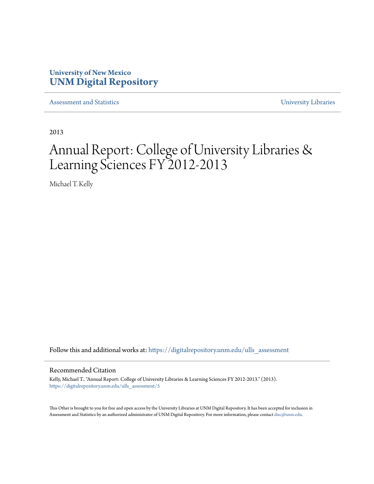# **University of New Mexico [UNM Digital Repository](https://digitalrepository.unm.edu?utm_source=digitalrepository.unm.edu%2Fulls_assessment%2F5&utm_medium=PDF&utm_campaign=PDFCoverPages)**

[Assessment and Statistics](https://digitalrepository.unm.edu/ulls_assessment?utm_source=digitalrepository.unm.edu%2Fulls_assessment%2F5&utm_medium=PDF&utm_campaign=PDFCoverPages) [University Libraries](https://digitalrepository.unm.edu/libraries?utm_source=digitalrepository.unm.edu%2Fulls_assessment%2F5&utm_medium=PDF&utm_campaign=PDFCoverPages)

2013

# Annual Report: College of University Libraries & Learning Sciences FY 2012-2013

Michael T. Kelly

Follow this and additional works at: [https://digitalrepository.unm.edu/ulls\\_assessment](https://digitalrepository.unm.edu/ulls_assessment?utm_source=digitalrepository.unm.edu%2Fulls_assessment%2F5&utm_medium=PDF&utm_campaign=PDFCoverPages)

#### Recommended Citation

Kelly, Michael T.. "Annual Report: College of University Libraries & Learning Sciences FY 2012-2013." (2013). [https://digitalrepository.unm.edu/ulls\\_assessment/5](https://digitalrepository.unm.edu/ulls_assessment/5?utm_source=digitalrepository.unm.edu%2Fulls_assessment%2F5&utm_medium=PDF&utm_campaign=PDFCoverPages)

This Other is brought to you for free and open access by the University Libraries at UNM Digital Repository. It has been accepted for inclusion in Assessment and Statistics by an authorized administrator of UNM Digital Repository. For more information, please contact [disc@unm.edu](mailto:disc@unm.edu).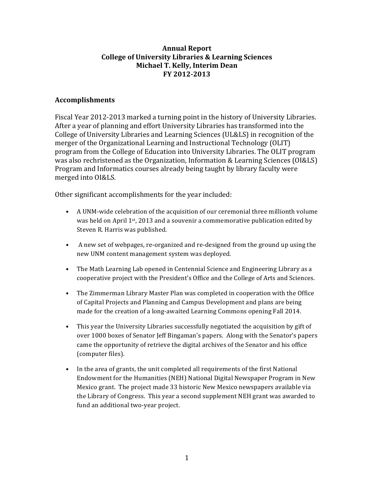#### **Annual Report College of University Libraries & Learning Sciences Michael T. Kelly, Interim Dean FY 2012-2013**

#### **Accomplishments**

Fiscal Year 2012-2013 marked a turning point in the history of University Libraries. After a year of planning and effort University Libraries has transformed into the College of University Libraries and Learning Sciences (UL&LS) in recognition of the merger of the Organizational Learning and Instructional Technology (OLIT) program from the College of Education into University Libraries. The OLIT program was also rechristened as the Organization, Information & Learning Sciences (OI&LS) Program and Informatics courses already being taught by library faculty were merged into OI&LS.

Other significant accomplishments for the year included:

- A UNM-wide celebration of the acquisition of our ceremonial three millionth volume was held on April 1st, 2013 and a souvenir a commemorative publication edited by Steven R. Harris was published.
- A new set of webpages, re-organized and re-designed from the ground up using the new UNM content management system was deployed.
- The Math Learning Lab opened in Centennial Science and Engineering Library as a cooperative project with the President's Office and the College of Arts and Sciences.
- The Zimmerman Library Master Plan was completed in cooperation with the Office of Capital Projects and Planning and Campus Development and plans are being made for the creation of a long-awaited Learning Commons opening Fall 2014.
- This year the University Libraries successfully negotiated the acquisition by gift of over 1000 boxes of Senator Jeff Bingaman's papers. Along with the Senator's papers came the opportunity of retrieve the digital archives of the Senator and his office (computer files).
- In the area of grants, the unit completed all requirements of the first National Endowment for the Humanities (NEH) National Digital Newspaper Program in New Mexico grant. The project made 33 historic New Mexico newspapers available via the Library of Congress. This year a second supplement NEH grant was awarded to fund an additional two-year project.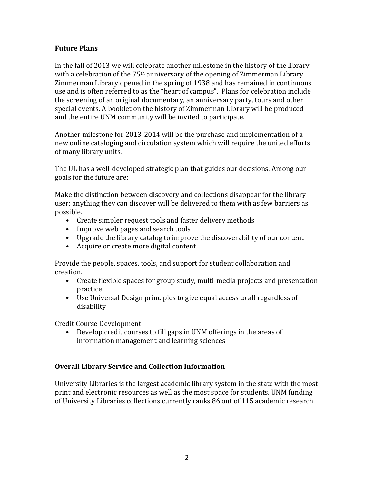## **Future Plans**

In the fall of 2013 we will celebrate another milestone in the history of the library with a celebration of the 75<sup>th</sup> anniversary of the opening of Zimmerman Library. Zimmerman Library opened in the spring of 1938 and has remained in continuous use and is often referred to as the "heart of campus". Plans for celebration include the screening of an original documentary, an anniversary party, tours and other special events. A booklet on the history of Zimmerman Library will be produced and the entire UNM community will be invited to participate.

Another milestone for 2013-2014 will be the purchase and implementation of a new online cataloging and circulation system which will require the united efforts of many library units.

The UL has a well-developed strategic plan that guides our decisions. Among our goals for the future are:

Make the distinction between discovery and collections disappear for the library user: anything they can discover will be delivered to them with as few barriers as possible.

- Create simpler request tools and faster delivery methods
- Improve web pages and search tools
- Upgrade the library catalog to improve the discoverability of our content
- Acquire or create more digital content

Provide the people, spaces, tools, and support for student collaboration and creation.

- Create flexible spaces for group study, multi-media projects and presentation practice
- Use Universal Design principles to give equal access to all regardless of disability

Credit Course Development

• Develop credit courses to fill gaps in UNM offerings in the areas of information management and learning sciences

## **Overall Library Service and Collection Information**

University Libraries is the largest academic library system in the state with the most print and electronic resources as well as the most space for students. UNM funding of University Libraries collections currently ranks 86 out of 115 academic research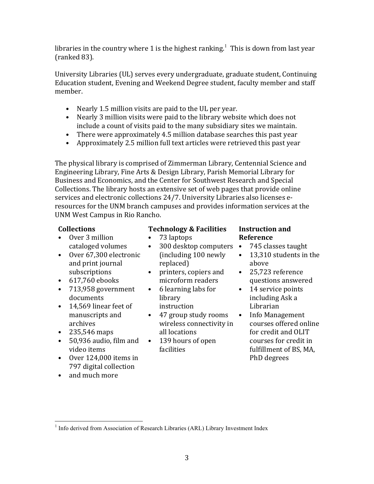libraries in the country where 1 is the highest ranking. $^1\,$  This is down from last year (ranked 83).

University Libraries (UL) serves every undergraduate, graduate student, Continuing Education student, Evening and Weekend Degree student, faculty member and staff member.

- Nearly 1.5 million visits are paid to the UL per year.
- Nearly 3 million visits were paid to the library website which does not include a count of visits paid to the many subsidiary sites we maintain.
- There were approximately 4.5 million database searches this past year
- Approximately 2.5 million full text articles were retrieved this past year

The physical library is comprised of Zimmerman Library, Centennial Science and Engineering Library, Fine Arts & Design Library, Parish Memorial Library for Business and Economics, and the Center for Southwest Research and Special Collections. The library hosts an extensive set of web pages that provide online services and electronic collections 24/7. University Libraries also licenses eresources for the UNM branch campuses and provides information services at the UNM West Campus in Rio Rancho.

## **Collections**

- Over 3 million cataloged volumes
- Over 67,300 electronic and print journal subscriptions
- 617,760 ebooks
- 713,958 government documents
- 14,569 linear feet of manuscripts and archives
- 235,546 maps
- 50,936 audio, film and video items
- Over 124,000 items in 797 digital collection
- and much more

## **Technology & Facilities**

- 73 laptops
- 300 desktop computers (including 100 newly replaced)
- printers, copiers and microform readers
- 6 learning labs for library instruction
- 47 group study rooms wireless connectivity in all locations
- 139 hours of open facilities

## **Instruction and Reference**

- 745 classes taught
- 13.310 students in the above
- 25,723 reference questions answered
- 14 service points including Ask a Librarian
- Info Management courses offered online for credit and OLIT courses for credit in fulfillment of BS, MA, PhD degrees

<sup>&</sup>lt;sup>1</sup> Info derived from Association of Research Libraries (ARL) Library Investment Index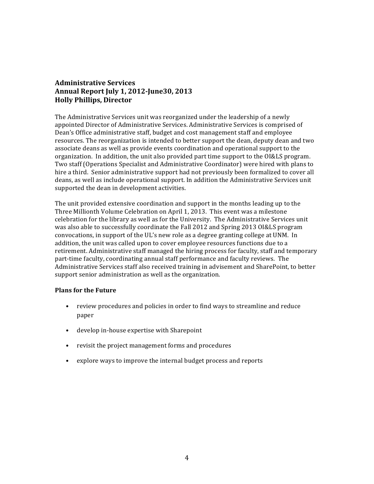#### **Administrative Services Annual Report July 1, 2012-June30, 2013 Holly Phillips, Director**

The Administrative Services unit was reorganized under the leadership of a newly appointed Director of Administrative Services. Administrative Services is comprised of Dean's Office administrative staff, budget and cost management staff and employee resources. The reorganization is intended to better support the dean, deputy dean and two associate deans as well as provide events coordination and operational support to the organization. In addition, the unit also provided part time support to the OI&LS program. Two staff (Operations Specialist and Administrative Coordinator) were hired with plans to hire a third. Senior administrative support had not previously been formalized to cover all deans, as well as include operational support. In addition the Administrative Services unit supported the dean in development activities.

The unit provided extensive coordination and support in the months leading up to the Three Millionth Volume Celebration on April 1, 2013. This event was a milestone celebration for the library as well as for the University. The Administrative Services unit was also able to successfully coordinate the Fall 2012 and Spring 2013 OI&LS program convocations, in support of the UL's new role as a degree granting college at UNM. In addition, the unit was called upon to cover employee resources functions due to a retirement. Administrative staff managed the hiring process for faculty, staff and temporary part-time faculty, coordinating annual staff performance and faculty reviews. The Administrative Services staff also received training in advisement and SharePoint, to better support senior administration as well as the organization.

#### **Plans for the Future**

- review procedures and policies in order to find ways to streamline and reduce paper
- develop in-house expertise with Sharepoint
- revisit the project management forms and procedures
- explore ways to improve the internal budget process and reports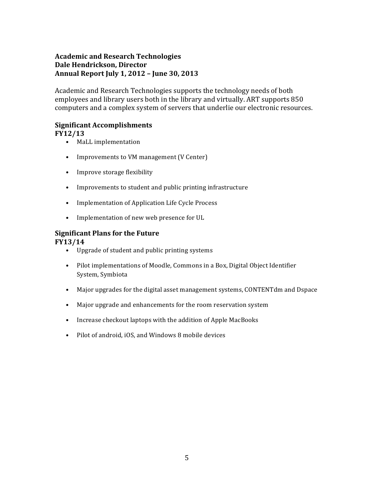## **Academic and Research Technologies Dale Hendrickson, Director Annual Report July 1, 2012 – June 30, 2013**

Academic and Research Technologies supports the technology needs of both employees and library users both in the library and virtually. ART supports 850 computers and a complex system of servers that underlie our electronic resources.

## **Significant Accomplishments**

#### **FY12/13**

- MaLL implementation
- Improvements to VM management (V Center)
- Improve storage flexibility
- Improvements to student and public printing infrastructure
- Implementation of Application Life Cycle Process
- Implementation of new web presence for UL

#### **Significant Plans for the Future**

#### **FY13/14**

- Upgrade of student and public printing systems
- Pilot implementations of Moodle, Commons in a Box, Digital Object Identifier System, Symbiota
- Major upgrades for the digital asset management systems, CONTENTdm and Dspace
- Major upgrade and enhancements for the room reservation system
- Increase checkout laptops with the addition of Apple MacBooks
- Pilot of android, iOS, and Windows 8 mobile devices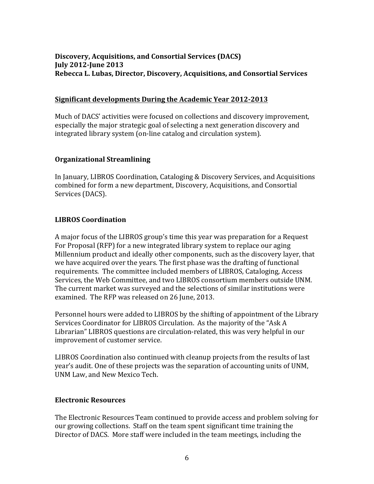## **Discovery, Acquisitions, and Consortial Services (DACS) July 2012-June 2013 Rebecca L. Lubas, Director, Discovery, Acquisitions, and Consortial Services**

#### **Significant developments During the Academic Year 2012-2013**

Much of DACS' activities were focused on collections and discovery improvement, especially the major strategic goal of selecting a next generation discovery and integrated library system (on-line catalog and circulation system).

#### **Organizational Streamlining**

In January, LIBROS Coordination, Cataloging & Discovery Services, and Acquisitions combined for form a new department, Discovery, Acquisitions, and Consortial Services (DACS).

#### **LIBROS Coordination**

A major focus of the LIBROS group's time this year was preparation for a Request For Proposal (RFP) for a new integrated library system to replace our aging Millennium product and ideally other components, such as the discovery layer, that we have acquired over the years. The first phase was the drafting of functional requirements. The committee included members of LIBROS, Cataloging, Access Services, the Web Committee, and two LIBROS consortium members outside UNM. The current market was surveyed and the selections of similar institutions were examined. The RFP was released on 26 June, 2013.

Personnel hours were added to LIBROS by the shifting of appointment of the Library Services Coordinator for LIBROS Circulation. As the majority of the "Ask A Librarian" LIBROS questions are circulation-related, this was very helpful in our improvement of customer service.

LIBROS Coordination also continued with cleanup projects from the results of last year's audit. One of these projects was the separation of accounting units of UNM, UNM Law, and New Mexico Tech.

#### **Electronic Resources**

The Electronic Resources Team continued to provide access and problem solving for our growing collections. Staff on the team spent significant time training the Director of DACS. More staff were included in the team meetings, including the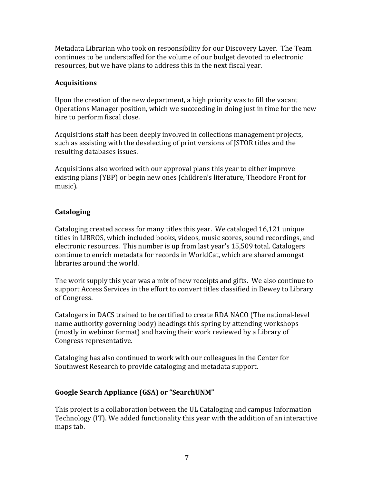Metadata Librarian who took on responsibility for our Discovery Layer. The Team continues to be understaffed for the volume of our budget devoted to electronic resources, but we have plans to address this in the next fiscal year.

## **Acquisitions**

Upon the creation of the new department, a high priority was to fill the vacant Operations Manager position, which we succeeding in doing just in time for the new hire to perform fiscal close. 

Acquisitions staff has been deeply involved in collections management projects, such as assisting with the deselecting of print versions of JSTOR titles and the resulting databases issues.

Acquisitions also worked with our approval plans this year to either improve existing plans (YBP) or begin new ones (children's literature, Theodore Front for music).

## **Cataloging**

Cataloging created access for many titles this year. We cataloged 16,121 unique titles in LIBROS, which included books, videos, music scores, sound recordings, and electronic resources. This number is up from last year's 15,509 total. Catalogers continue to enrich metadata for records in WorldCat, which are shared amongst libraries around the world.

The work supply this year was a mix of new receipts and gifts. We also continue to support Access Services in the effort to convert titles classified in Dewey to Library of Congress.

Catalogers in DACS trained to be certified to create RDA NACO (The national-level name authority governing body) headings this spring by attending workshops (mostly in webinar format) and having their work reviewed by a Library of Congress representative.

Cataloging has also continued to work with our colleagues in the Center for Southwest Research to provide cataloging and metadata support.

## **Google Search Appliance (GSA) or "SearchUNM"**

This project is a collaboration between the UL Cataloging and campus Information Technology (IT). We added functionality this year with the addition of an interactive maps tab.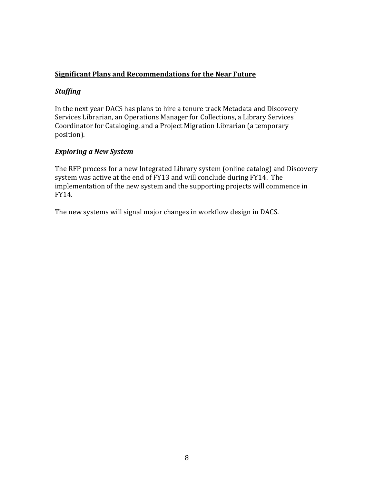## **Significant Plans and Recommendations for the Near Future**

## *Staffing*

In the next year DACS has plans to hire a tenure track Metadata and Discovery Services Librarian, an Operations Manager for Collections, a Library Services Coordinator for Cataloging, and a Project Migration Librarian (a temporary position).

## *Exploring a New System*

The RFP process for a new Integrated Library system (online catalog) and Discovery system was active at the end of FY13 and will conclude during FY14. The implementation of the new system and the supporting projects will commence in FY14.

The new systems will signal major changes in workflow design in DACS.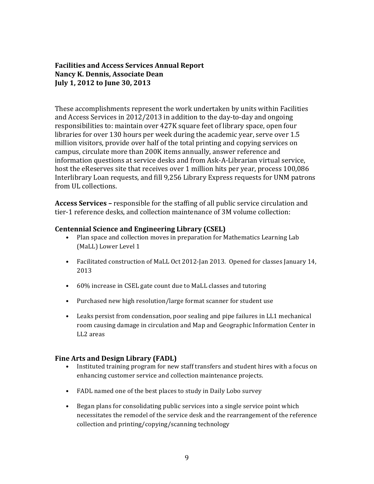## **Facilities and Access Services Annual Report Nancy K. Dennis, Associate Dean July 1, 2012 to June 30, 2013**

These accomplishments represent the work undertaken by units within Facilities and Access Services in 2012/2013 in addition to the day-to-day and ongoing responsibilities to: maintain over 427K square feet of library space, open four libraries for over 130 hours per week during the academic year, serve over 1.5 million visitors, provide over half of the total printing and copying services on campus, circulate more than 200K items annually, answer reference and information questions at service desks and from Ask-A-Librarian virtual service, host the eReserves site that receives over 1 million hits per year, process 100,086 Interlibrary Loan requests, and fill 9,256 Library Express requests for UNM patrons from UL collections.

**Access Services –** responsible for the staffing of all public service circulation and tier-1 reference desks, and collection maintenance of 3M volume collection:

#### **Centennial Science and Engineering Library (CSEL)**

- Plan space and collection moves in preparation for Mathematics Learning Lab (MaLL) Lower Level 1
- Facilitated construction of MaLL Oct 2012-Jan 2013. Opened for classes January 14, 2013
- 60% increase in CSEL gate count due to MaLL classes and tutoring
- Purchased new high resolution/large format scanner for student use
- Leaks persist from condensation, poor sealing and pipe failures in LL1 mechanical room causing damage in circulation and Map and Geographic Information Center in LL2 areas

#### **Fine Arts and Design Library (FADL)**

- Instituted training program for new staff transfers and student hires with a focus on enhancing customer service and collection maintenance projects.
- FADL named one of the best places to study in Daily Lobo survey
- Began plans for consolidating public services into a single service point which necessitates the remodel of the service desk and the rearrangement of the reference collection and printing/copying/scanning technology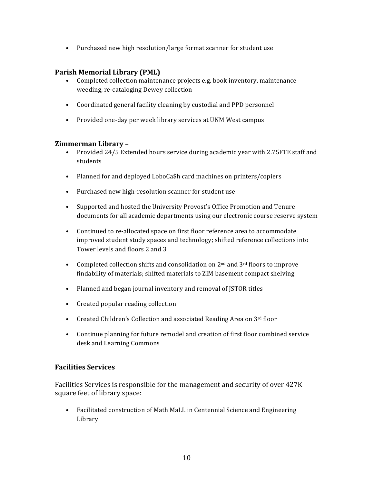• Purchased new high resolution/large format scanner for student use

#### **Parish Memorial Library (PML)**

- Completed collection maintenance projects e.g. book inventory, maintenance weeding, re-cataloging Dewey collection
- Coordinated general facility cleaning by custodial and PPD personnel
- Provided one-day per week library services at UNM West campus

#### **Zimmerman Library –**

- Provided 24/5 Extended hours service during academic year with 2.75FTE staff and students
- Planned for and deployed LoboCa\$h card machines on printers/copiers
- Purchased new high-resolution scanner for student use
- Supported and hosted the University Provost's Office Promotion and Tenure documents for all academic departments using our electronic course reserve system
- Continued to re-allocated space on first floor reference area to accommodate improved student study spaces and technology; shifted reference collections into Tower levels and floors 2 and 3
- Completed collection shifts and consolidation on  $2<sup>nd</sup>$  and  $3<sup>rd</sup>$  floors to improve findability of materials; shifted materials to ZIM basement compact shelving
- Planned and began journal inventory and removal of JSTOR titles
- Created popular reading collection
- Created Children's Collection and associated Reading Area on 3rd floor
- Continue planning for future remodel and creation of first floor combined service desk and Learning Commons

#### **Facilities Services**

Facilities Services is responsible for the management and security of over 427K square feet of library space:

• Facilitated construction of Math MaLL in Centennial Science and Engineering Library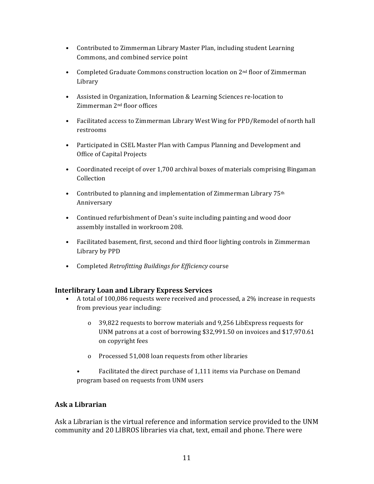- Contributed to Zimmerman Library Master Plan, including student Learning Commons, and combined service point
- Completed Graduate Commons construction location on  $2<sup>nd</sup>$  floor of Zimmerman Library
- Assisted in Organization, Information & Learning Sciences re-location to Zimmerman 2nd floor offices
- Facilitated access to Zimmerman Library West Wing for PPD/Remodel of north hall restrooms
- Participated in CSEL Master Plan with Campus Planning and Development and Office of Capital Projects
- Coordinated receipt of over 1,700 archival boxes of materials comprising Bingaman Collection
- Contributed to planning and implementation of Zimmerman Library 75<sup>th</sup> Anniversary
- Continued refurbishment of Dean's suite including painting and wood door assembly installed in workroom 208.
- Facilitated basement, first, second and third floor lighting controls in Zimmerman Library by PPD
- Completed *Retrofitting Buildings for Efficiency* course

#### **Interlibrary Loan and Library Express Services**

- A total of 100,086 requests were received and processed, a 2% increase in requests from previous year including:
	- o 39,822 requests to borrow materials and 9,256 LibExpress requests for UNM patrons at a cost of borrowing \$32,991.50 on invoices and \$17,970.61 on copyright fees
	- o Processed 51,008 loan requests from other libraries
	- Facilitated the direct purchase of 1,111 items via Purchase on Demand program based on requests from UNM users

## **Ask a Librarian**

Ask a Librarian is the virtual reference and information service provided to the UNM community and 20 LIBROS libraries via chat, text, email and phone. There were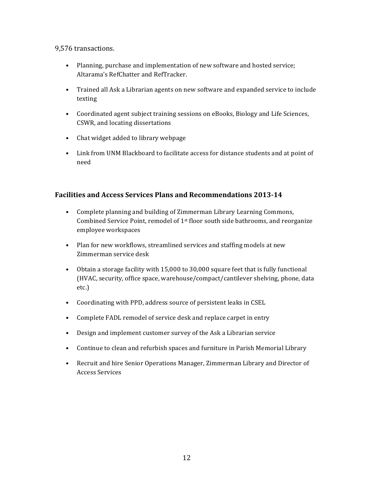#### 9,576 transactions.

- Planning, purchase and implementation of new software and hosted service; Altarama's RefChatter and RefTracker.
- Trained all Ask a Librarian agents on new software and expanded service to include texting
- Coordinated agent subject training sessions on eBooks, Biology and Life Sciences, CSWR, and locating dissertations
- Chat widget added to library webpage
- Link from UNM Blackboard to facilitate access for distance students and at point of need

## **Facilities and Access Services Plans and Recommendations 2013-14**

- Complete planning and building of Zimmerman Library Learning Commons, Combined Service Point, remodel of  $1<sup>st</sup>$  floor south side bathrooms, and reorganize employee workspaces
- Plan for new workflows, streamlined services and staffing models at new Zimmerman service desk
- Obtain a storage facility with 15,000 to 30,000 square feet that is fully functional (HVAC, security, office space, warehouse/compact/cantilever shelving, phone, data etc.)
- Coordinating with PPD, address source of persistent leaks in CSEL
- Complete FADL remodel of service desk and replace carpet in entry
- Design and implement customer survey of the Ask a Librarian service
- Continue to clean and refurbish spaces and furniture in Parish Memorial Library
- Recruit and hire Senior Operations Manager, Zimmerman Library and Director of Access Services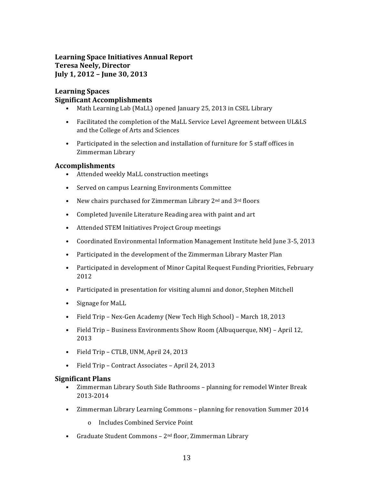## **Learning Space Initiatives Annual Report Teresa Neely, Director July 1, 2012 – June 30, 2013**

#### **Learning Spaces Significant Accomplishments**

- Math Learning Lab (MaLL) opened January 25, 2013 in CSEL Library
- Facilitated the completion of the MaLL Service Level Agreement between UL&LS and the College of Arts and Sciences
- Participated in the selection and installation of furniture for 5 staff offices in Zimmerman Library

#### **Accomplishments**

- Attended weekly MaLL construction meetings
- Served on campus Learning Environments Committee
- New chairs purchased for Zimmerman Library 2<sup>nd</sup> and 3<sup>rd</sup> floors
- Completed Juvenile Literature Reading area with paint and art
- Attended STEM Initiatives Project Group meetings
- Coordinated Environmental Information Management Institute held June 3-5, 2013
- Participated in the development of the Zimmerman Library Master Plan
- Participated in development of Minor Capital Request Funding Priorities, February 2012
- Participated in presentation for visiting alumni and donor, Stephen Mitchell
- Signage for MaLL
- Field Trip Nex-Gen Academy (New Tech High School) March 18, 2013
- Field Trip Business Environments Show Room (Albuquerque, NM) April 12, 2013
- Field Trip CTLB, UNM, April 24, 2013
- Field Trip Contract Associates April 24, 2013

#### **Significant Plans**

- Zimmerman Library South Side Bathrooms planning for remodel Winter Break 2013-2014
- Zimmerman Library Learning Commons planning for renovation Summer 2014
	- o Includes Combined Service Point
- Graduate Student Commons 2nd floor, Zimmerman Library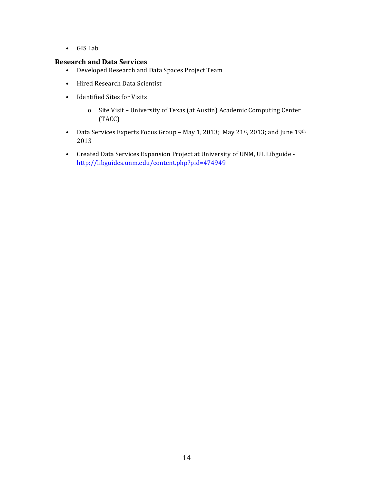• GIS Lab

#### **Research and Data Services**

- Developed Research and Data Spaces Project Team
- Hired Research Data Scientist
- Identified Sites for Visits
	- o Site Visit University of Texas (at Austin) Academic Computing Center (TACC)
- Data Services Experts Focus Group May 1, 2013; May 21<sup>st</sup>, 2013; and June 19th 2013
- Created Data Services Expansion Project at University of UNM, UL Libguide http://libguides.unm.edu/content.php?pid=474949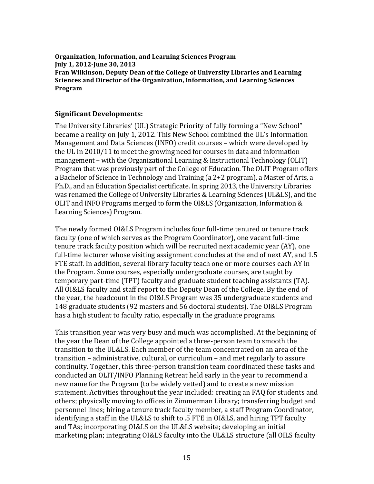**Organization, Information, and Learning Sciences Program July 1, 2012-June 30, 2013 Fran Wilkinson, Deputy Dean of the College of University Libraries and Learning Sciences and Director of the Organization, Information, and Learning Sciences Program**

#### **Significant Developments:**

The University Libraries' (UL) Strategic Priority of fully forming a "New School" became a reality on July 1, 2012. This New School combined the UL's Information Management and Data Sciences (INFO) credit courses – which were developed by the UL in 2010/11 to meet the growing need for courses in data and information management – with the Organizational Learning & Instructional Technology (OLIT) Program that was previously part of the College of Education. The OLIT Program offers a Bachelor of Science in Technology and Training (a 2+2 program), a Master of Arts, a Ph.D., and an Education Specialist certificate. In spring 2013, the University Libraries was renamed the College of University Libraries & Learning Sciences (UL&LS), and the OLIT and INFO Programs merged to form the OI&LS (Organization, Information & Learning Sciences) Program.

The newly formed OI&LS Program includes four full-time tenured or tenure track faculty (one of which serves as the Program Coordinator), one vacant full-time tenure track faculty position which will be recruited next academic year (AY), one full-time lecturer whose visiting assignment concludes at the end of next AY, and 1.5 FTE staff. In addition, several library faculty teach one or more courses each AY in the Program. Some courses, especially undergraduate courses, are taught by temporary part-time (TPT) faculty and graduate student teaching assistants (TA). All OI&LS faculty and staff report to the Deputy Dean of the College. By the end of the year, the headcount in the OI&LS Program was 35 undergraduate students and 148 graduate students (92 masters and 56 doctoral students). The OI&LS Program has a high student to faculty ratio, especially in the graduate programs.

This transition year was very busy and much was accomplished. At the beginning of the year the Dean of the College appointed a three-person team to smooth the transition to the UL&LS. Each member of the team concentrated on an area of the transition – administrative, cultural, or curriculum – and met regularly to assure continuity. Together, this three-person transition team coordinated these tasks and conducted an OLIT/INFO Planning Retreat held early in the year to recommend a new name for the Program (to be widely vetted) and to create a new mission statement. Activities throughout the year included: creating an FAQ for students and others; physically moving to offices in Zimmerman Library; transferring budget and personnel lines; hiring a tenure track faculty member, a staff Program Coordinator, identifying a staff in the UL&LS to shift to .5 FTE in OI&LS, and hiring TPT faculty and TAs; incorporating OI&LS on the UL&LS website; developing an initial marketing plan; integrating OI&LS faculty into the UL&LS structure (all OILS faculty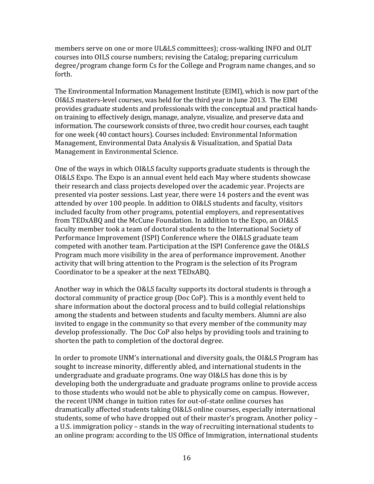members serve on one or more UL&LS committees); cross-walking INFO and OLIT courses into OILS course numbers; revising the Catalog; preparing curriculum degree/program change form Cs for the College and Program name changes, and so forth.

The Environmental Information Management Institute (EIMI), which is now part of the OI&LS masters-level courses, was held for the third year in June 2013. The EIMI provides graduate students and professionals with the conceptual and practical handson training to effectively design, manage, analyze, visualize, and preserve data and information. The coursework consists of three, two credit hour courses, each taught for one week (40 contact hours). Courses included: Environmental Information Management, Environmental Data Analysis & Visualization, and Spatial Data Management in Environmental Science.

One of the ways in which OI&LS faculty supports graduate students is through the OI&LS Expo. The Expo is an annual event held each May where students showcase their research and class projects developed over the academic year. Projects are presented via poster sessions. Last year, there were 14 posters and the event was attended by over 100 people. In addition to OI&LS students and faculty, visitors included faculty from other programs, potential employers, and representatives from TEDxABQ and the McCune Foundation. In addition to the Expo, an OI&LS faculty member took a team of doctoral students to the International Society of Performance Improvement (ISPI) Conference where the OI&LS graduate team competed with another team. Participation at the ISPI Conference gave the OI&LS Program much more visibility in the area of performance improvement. Another activity that will bring attention to the Program is the selection of its Program Coordinator to be a speaker at the next TEDxABQ.

Another way in which the O&LS faculty supports its doctoral students is through a doctoral community of practice group (Doc CoP). This is a monthly event held to share information about the doctoral process and to build collegial relationships among the students and between students and faculty members. Alumni are also invited to engage in the community so that every member of the community may develop professionally. The Doc CoP also helps by providing tools and training to shorten the path to completion of the doctoral degree.

In order to promote UNM's international and diversity goals, the OI&LS Program has sought to increase minority, differently abled, and international students in the undergraduate and graduate programs. One way OI&LS has done this is by developing both the undergraduate and graduate programs online to provide access to those students who would not be able to physically come on campus. However, the recent UNM change in tuition rates for out-of-state online courses has dramatically affected students taking OI&LS online courses, especially international students, some of who have dropped out of their master's program. Another policy – a U.S. immigration policy – stands in the way of recruiting international students to an online program: according to the US Office of Immigration, international students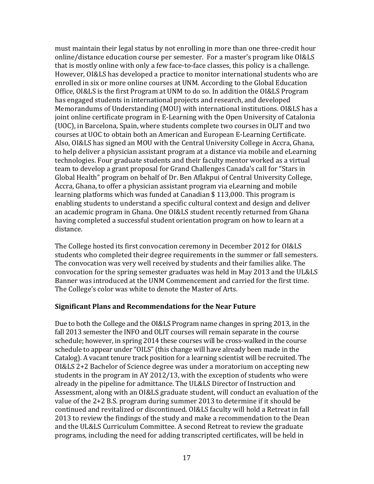must maintain their legal status by not enrolling in more than one three-credit hour online/distance education course per semester. For a master's program like OI&LS that is mostly online with only a few face-to-face classes, this policy is a challenge. However, OI&LS has developed a practice to monitor international students who are enrolled in six or more online courses at UNM. According to the Global Education Office, OI&LS is the first Program at UNM to do so. In addition the OI&LS Program has engaged students in international projects and research, and developed Memorandums of Understanding (MOU) with international institutions. OI&LS has a joint online certificate program in E-Learning with the Open University of Catalonia (UOC), in Barcelona, Spain, where students complete two courses in OLIT and two courses at UOC to obtain both an American and European E-Learning Certificate. Also, OI&LS has signed an MOU with the Central University College in Accra, Ghana, to help deliver a physician assistant program at a distance via mobile and eLearning technologies. Four graduate students and their faculty mentor worked as a virtual team to develop a grant proposal for Grand Challenges Canada's call for "Stars in Global Health" program on behalf of Dr. Ben Aflakpui of Central University College, Accra, Ghana, to offer a physician assistant program via eLearning and mobile learning platforms which was funded at Canadian \$ 113,000. This program is enabling students to understand a specific cultural context and design and deliver an academic program in Ghana. One OI&LS student recently returned from Ghana having completed a successful student orientation program on how to learn at a distance.

The College hosted its first convocation ceremony in December 2012 for OI&LS students who completed their degree requirements in the summer or fall semesters. The convocation was very well received by students and their families alike. The convocation for the spring semester graduates was held in May 2013 and the UL&LS Banner was introduced at the UNM Commencement and carried for the first time. The College's color was white to denote the Master of Arts.

#### **Significant Plans and Recommendations for the Near Future**

Due to both the College and the OI&LS Program name changes in spring 2013, in the fall 2013 semester the INFO and OLIT courses will remain separate in the course schedule; however, in spring 2014 these courses will be cross-walked in the course schedule to appear under "OILS" (this change will have already been made in the Catalog). A vacant tenure track position for a learning scientist will be recruited. The OI&LS 2+2 Bachelor of Science degree was under a moratorium on accepting new students in the program in AY 2012/13, with the exception of students who were already in the pipeline for admittance. The UL&LS Director of Instruction and Assessment, along with an OI&LS graduate student, will conduct an evaluation of the value of the 2+2 B.S. program during summer 2013 to determine if it should be continued and revitalized or discontinued. OI&LS faculty will hold a Retreat in fall 2013 to review the findings of the study and make a recommendation to the Dean and the UL&LS Curriculum Committee. A second Retreat to review the graduate programs, including the need for adding transcripted certificates, will be held in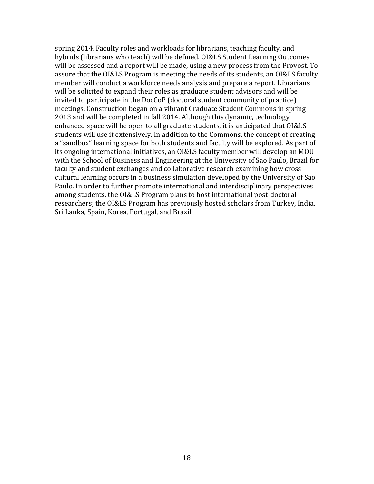spring 2014. Faculty roles and workloads for librarians, teaching faculty, and hybrids (librarians who teach) will be defined. OI&LS Student Learning Outcomes will be assessed and a report will be made, using a new process from the Provost. To assure that the OI&LS Program is meeting the needs of its students, an OI&LS faculty member will conduct a workforce needs analysis and prepare a report. Librarians will be solicited to expand their roles as graduate student advisors and will be invited to participate in the DocCoP (doctoral student community of practice) meetings. Construction began on a vibrant Graduate Student Commons in spring 2013 and will be completed in fall 2014. Although this dynamic, technology enhanced space will be open to all graduate students, it is anticipated that OI&LS students will use it extensively. In addition to the Commons, the concept of creating a "sandbox" learning space for both students and faculty will be explored. As part of its ongoing international initiatives, an OI&LS faculty member will develop an MOU with the School of Business and Engineering at the University of Sao Paulo, Brazil for faculty and student exchanges and collaborative research examining how cross cultural learning occurs in a business simulation developed by the University of Sao Paulo. In order to further promote international and interdisciplinary perspectives among students, the OI&LS Program plans to host international post-doctoral researchers; the OI&LS Program has previously hosted scholars from Turkey, India, Sri Lanka, Spain, Korea, Portugal, and Brazil.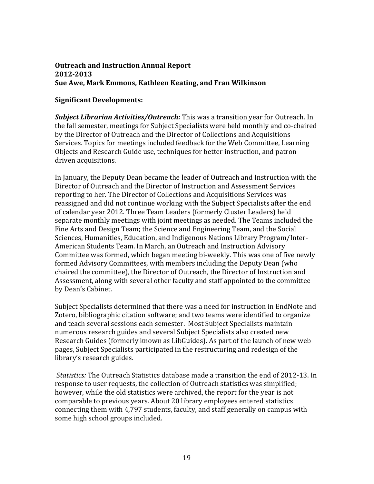## **Outreach and Instruction Annual Report 2012-2013 Sue Awe, Mark Emmons, Kathleen Keating, and Fran Wilkinson**

## **Significant Developments:**

*Subject Librarian Activities/Outreach:* This was a transition year for Outreach. In the fall semester, meetings for Subject Specialists were held monthly and co-chaired by the Director of Outreach and the Director of Collections and Acquisitions Services. Topics for meetings included feedback for the Web Committee, Learning Objects and Research Guide use, techniques for better instruction, and patron driven acquisitions. 

In January, the Deputy Dean became the leader of Outreach and Instruction with the Director of Outreach and the Director of Instruction and Assessment Services reporting to her. The Director of Collections and Acquisitions Services was reassigned and did not continue working with the Subject Specialists after the end of calendar year 2012. Three Team Leaders (formerly Cluster Leaders) held separate monthly meetings with joint meetings as needed. The Teams included the Fine Arts and Design Team; the Science and Engineering Team, and the Social Sciences, Humanities, Education, and Indigenous Nations Library Program/Inter-American Students Team. In March, an Outreach and Instruction Advisory Committee was formed, which began meeting bi-weekly. This was one of five newly formed Advisory Committees, with members including the Deputy Dean (who chaired the committee), the Director of Outreach, the Director of Instruction and Assessment, along with several other faculty and staff appointed to the committee by Dean's Cabinet.

Subject Specialists determined that there was a need for instruction in EndNote and Zotero, bibliographic citation software; and two teams were identified to organize and teach several sessions each semester. Most Subject Specialists maintain numerous research guides and several Subject Specialists also created new Research Guides (formerly known as LibGuides). As part of the launch of new web pages, Subject Specialists participated in the restructuring and redesign of the library's research guides.

*Statistics:* The Outreach Statistics database made a transition the end of 2012-13. In response to user requests, the collection of Outreach statistics was simplified; however, while the old statistics were archived, the report for the year is not comparable to previous years. About 20 library employees entered statistics connecting them with 4,797 students, faculty, and staff generally on campus with some high school groups included.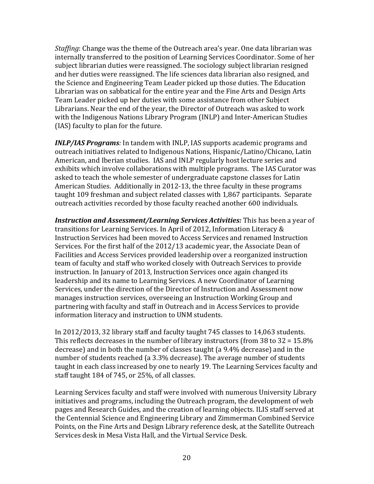*Staffing*: Change was the theme of the Outreach area's year. One data librarian was internally transferred to the position of Learning Services Coordinator. Some of her subject librarian duties were reassigned. The sociology subject librarian resigned and her duties were reassigned. The life sciences data librarian also resigned, and the Science and Engineering Team Leader picked up those duties. The Education Librarian was on sabbatical for the entire year and the Fine Arts and Design Arts Team Leader picked up her duties with some assistance from other Subject Librarians. Near the end of the year, the Director of Outreach was asked to work with the Indigenous Nations Library Program (INLP) and Inter-American Studies (IAS) faculty to plan for the future.

*INLP/IAS Programs:* In tandem with INLP, IAS supports academic programs and outreach initiatives related to Indigenous Nations, Hispanic/Latino/Chicano, Latin American, and Iberian studies. IAS and INLP regularly host lecture series and exhibits which involve collaborations with multiple programs. The IAS Curator was asked to teach the whole semester of undergraduate capstone classes for Latin American Studies. Additionally in 2012-13, the three faculty in these programs taught 109 freshman and subject related classes with 1,867 participants. Separate outreach activities recorded by those faculty reached another 600 individuals.

*Instruction and Assessment/Learning Services Activities:* This has been a year of transitions for Learning Services. In April of 2012, Information Literacy & Instruction Services had been moved to Access Services and renamed Instruction Services. For the first half of the 2012/13 academic year, the Associate Dean of Facilities and Access Services provided leadership over a reorganized instruction team of faculty and staff who worked closely with Outreach Services to provide instruction. In January of 2013, Instruction Services once again changed its leadership and its name to Learning Services. A new Coordinator of Learning Services, under the direction of the Director of Instruction and Assessment now manages instruction services, overseeing an Instruction Working Group and partnering with faculty and staff in Outreach and in Access Services to provide information literacy and instruction to UNM students.

In 2012/2013, 32 library staff and faculty taught 745 classes to 14,063 students. This reflects decreases in the number of library instructors (from 38 to 32 = 15.8% decrease) and in both the number of classes taught (a 9.4% decrease) and in the number of students reached (a 3.3% decrease). The average number of students taught in each class increased by one to nearly 19. The Learning Services faculty and staff taught 184 of 745, or 25%, of all classes.

Learning Services faculty and staff were involved with numerous University Library initiatives and programs, including the Outreach program, the development of web pages and Research Guides, and the creation of learning objects. ILIS staff served at the Centennial Science and Engineering Library and Zimmerman Combined Service Points, on the Fine Arts and Design Library reference desk, at the Satellite Outreach Services desk in Mesa Vista Hall, and the Virtual Service Desk.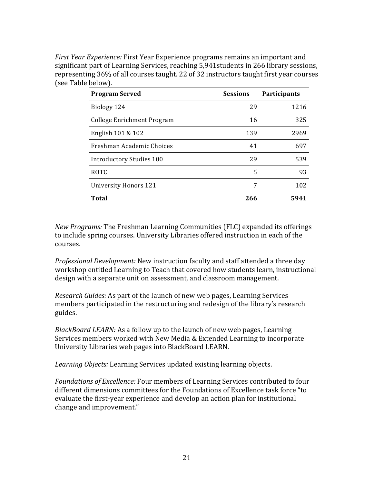*First Year Experience:* First Year Experience programs remains an important and significant part of Learning Services, reaching 5,941students in 266 library sessions, representing 36% of all courses taught. 22 of 32 instructors taught first year courses (see Table below).

| <b>Program Served</b>           | <b>Sessions</b> | Participants |  |
|---------------------------------|-----------------|--------------|--|
| Biology 124                     | 29              | 1216         |  |
| College Enrichment Program      | 16              | 325          |  |
| English 101 & 102               | 139             | 2969         |  |
| Freshman Academic Choices       | 41              | 697          |  |
| <b>Introductory Studies 100</b> | 29              | 539          |  |
| <b>ROTC</b>                     | 5               | 93           |  |
| <b>University Honors 121</b>    | 7               | 102          |  |
| Total                           | 266             | 5941         |  |

*New Programs:* The Freshman Learning Communities (FLC) expanded its offerings to include spring courses. University Libraries offered instruction in each of the courses.

*Professional Development:* New instruction faculty and staff attended a three day workshop entitled Learning to Teach that covered how students learn, instructional design with a separate unit on assessment, and classroom management.

*Research Guides:* As part of the launch of new web pages, Learning Services members participated in the restructuring and redesign of the library's research guides.

*BlackBoard LEARN:* As a follow up to the launch of new web pages, Learning Services members worked with New Media & Extended Learning to incorporate University Libraries web pages into BlackBoard LEARN.

*Learning Objects:* Learning Services updated existing learning objects.

*Foundations of Excellence:* Four members of Learning Services contributed to four different dimensions committees for the Foundations of Excellence task force "to evaluate the first-year experience and develop an action plan for institutional change and improvement."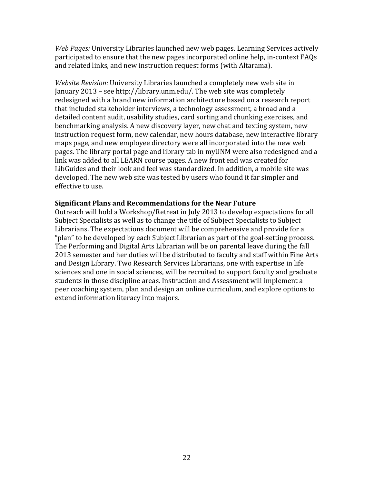*Web Pages:* University Libraries launched new web pages. Learning Services actively participated to ensure that the new pages incorporated online help, in-context FAQs and related links, and new instruction request forms (with Altarama).

*Website Revision:* University Libraries launched a completely new web site in January 2013 – see http://library.unm.edu/. The web site was completely redesigned with a brand new information architecture based on a research report that included stakeholder interviews, a technology assessment, a broad and a detailed content audit, usability studies, card sorting and chunking exercises, and benchmarking analysis. A new discovery layer, new chat and texting system, new instruction request form, new calendar, new hours database, new interactive library maps page, and new employee directory were all incorporated into the new web pages. The library portal page and library tab in myUNM were also redesigned and a link was added to all LEARN course pages. A new front end was created for LibGuides and their look and feel was standardized. In addition, a mobile site was developed. The new web site was tested by users who found it far simpler and effective to use.

#### **Significant Plans and Recommendations for the Near Future**

Outreach will hold a Workshop/Retreat in July 2013 to develop expectations for all Subject Specialists as well as to change the title of Subject Specialists to Subject Librarians. The expectations document will be comprehensive and provide for a "plan" to be developed by each Subject Librarian as part of the goal-setting process. The Performing and Digital Arts Librarian will be on parental leave during the fall 2013 semester and her duties will be distributed to faculty and staff within Fine Arts and Design Library. Two Research Services Librarians, one with expertise in life sciences and one in social sciences, will be recruited to support faculty and graduate students in those discipline areas. Instruction and Assessment will implement a peer coaching system, plan and design an online curriculum, and explore options to extend information literacy into majors.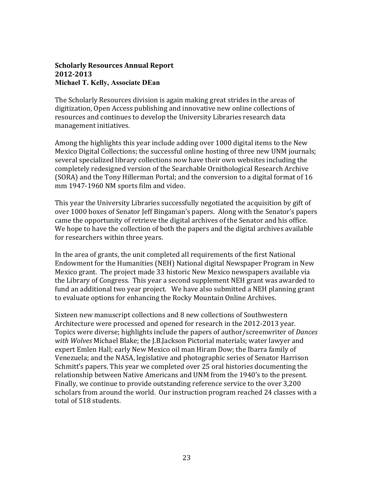#### **Scholarly Resources Annual Report 2012-2013 Michael T. Kelly, Associate DEan**

The Scholarly Resources division is again making great strides in the areas of digitization, Open Access publishing and innovative new online collections of resources and continues to develop the University Libraries research data management initiatives.

Among the highlights this year include adding over 1000 digital items to the New Mexico Digital Collections; the successful online hosting of three new UNM journals; several specialized library collections now have their own websites including the completely redesigned version of the Searchable Ornithological Research Archive (SORA) and the Tony Hillerman Portal; and the conversion to a digital format of 16 mm 1947-1960 NM sports film and video.

This year the University Libraries successfully negotiated the acquisition by gift of over 1000 boxes of Senator Jeff Bingaman's papers. Along with the Senator's papers came the opportunity of retrieve the digital archives of the Senator and his office. We hope to have the collection of both the papers and the digital archives available for researchers within three years.

In the area of grants, the unit completed all requirements of the first National Endowment for the Humanities (NEH) National digital Newspaper Program in New Mexico grant. The project made 33 historic New Mexico newspapers available via the Library of Congress. This year a second supplement NEH grant was awarded to fund an additional two year project. We have also submitted a NEH planning grant to evaluate options for enhancing the Rocky Mountain Online Archives. 

Sixteen new manuscript collections and 8 new collections of Southwestern Architecture were processed and opened for research in the 2012-2013 year. Topics were diverse; highlights include the papers of author/screenwriter of *Dances with Wolves* Michael Blake; the J.B.Jackson Pictorial materials; water lawyer and expert Emlen Hall; early New Mexico oil man Hiram Dow; the Ibarra family of Venezuela; and the NASA, legislative and photographic series of Senator Harrison Schmitt's papers. This year we completed over 25 oral histories documenting the relationship between Native Americans and UNM from the 1940's to the present. Finally, we continue to provide outstanding reference service to the over 3,200 scholars from around the world. Our instruction program reached 24 classes with a total of 518 students.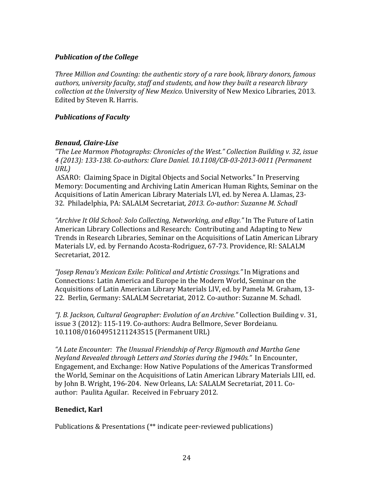## *Publication of the College*

*Three Million and Counting: the authentic story of a rare book, library donors, famous authors, university faculty, staff and students, and how they built a research library collection at the University of New Mexico.* University of New Mexico Libraries, 2013. Edited by Steven R. Harris.

## *Publications of Faculty*

## *Benaud, Claire-Lise*

*"The Lee Marmon Photographs: Chronicles of the West." Collection Building v. 32, issue 4 (2013): 133-138. Co-authors: Clare Daniel. 10.1108/CB-03-2013-0011 (Permanent URL)*

ASARO: Claiming Space in Digital Objects and Social Networks." In Preserving Memory: Documenting and Archiving Latin American Human Rights, Seminar on the Acquisitions of Latin American Library Materials LVI, ed. by Nerea A. Llamas, 23- 32. Philadelphia, PA: SALALM Secretariat*, 2013. Co-author: Suzanne M. Schadl*

*"Archive It Old School: Solo Collecting, Networking, and eBay."* In The Future of Latin American Library Collections and Research: Contributing and Adapting to New Trends in Research Libraries, Seminar on the Acquisitions of Latin American Library Materials LV, ed. by Fernando Acosta-Rodriguez, 67-73. Providence, RI: SALALM Secretariat, 2012.

*"Josep Renau's Mexican Exile: Political and Artistic Crossings."* In Migrations and Connections: Latin America and Europe in the Modern World, Seminar on the Acquisitions of Latin American Library Materials LIV, ed. by Pamela M. Graham, 13- 22. Berlin, Germany: SALALM Secretariat, 2012. Co-author: Suzanne M. Schadl.

*"J. B. Jackson, Cultural Geographer: Evolution of an Archive."* Collection Building v. 31, issue 3 (2012): 115-119. Co-authors: Audra Bellmore, Sever Bordeianu. 10.1108/01604951211243515 (Permanent URL)

*"A Late Encounter: The Unusual Friendship of Percy Bigmouth and Martha Gene Neyland Revealed through Letters and Stories during the 1940s."* In Encounter, Engagement, and Exchange: How Native Populations of the Americas Transformed the World, Seminar on the Acquisitions of Latin American Library Materials LIII, ed. by John B. Wright, 196-204. New Orleans, LA: SALALM Secretariat, 2011. Coauthor: Paulita Aguilar. Received in February 2012.

## **Benedict, Karl**

Publications & Presentations (\*\* indicate peer-reviewed publications)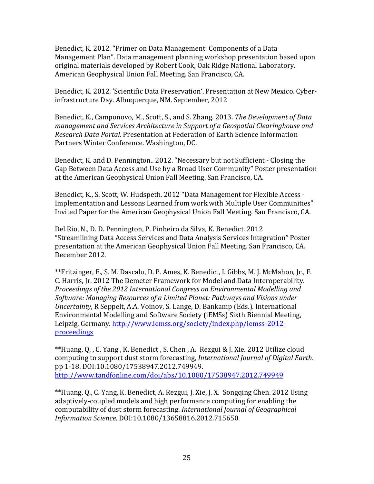Benedict, K. 2012. "Primer on Data Management: Components of a Data Management Plan". Data management planning workshop presentation based upon original materials developed by Robert Cook, Oak Ridge National Laboratory. American Geophysical Union Fall Meeting. San Francisco, CA.

Benedict, K. 2012. 'Scientific Data Preservation'. Presentation at New Mexico. Cyberinfrastructure Day. Albuquerque, NM. September, 2012

Benedict, K., Camponovo, M., Scott, S., and S. Zhang. 2013. *The Development of Data management and Services Architecture in Support of a Geospatial Clearinghouse and Research Data Portal*. Presentation at Federation of Earth Science Information Partners Winter Conference. Washington, DC.

Benedict, K. and D. Pennington.. 2012. "Necessary but not Sufficient - Closing the Gap Between Data Access and Use by a Broad User Community" Poster presentation at the American Geophysical Union Fall Meeting. San Francisco, CA.

Benedict, K., S. Scott, W. Hudspeth. 2012 "Data Management for Flexible Access - Implementation and Lessons Learned from work with Multiple User Communities" Invited Paper for the American Geophysical Union Fall Meeting. San Francisco, CA.

Del Rio, N., D. D. Pennington, P. Pinheiro da Silva, K. Benedict. 2012 "Streamlining Data Access Services and Data Analysis Services Integration" Poster presentation at the American Geophysical Union Fall Meeting. San Francisco, CA. December 2012.

\*\*Fritzinger, E., S. M. Dascalu, D. P. Ames, K. Benedict, I. Gibbs, M. J. McMahon, Jr., F. C. Harris, Jr. 2012 The Demeter Framework for Model and Data Interoperability. *Proceedings of the 2012 International Congress on Environmental Modelling and Software: Managing Resources of a Limited Planet: Pathways and Visions under Uncertainty*, R Seppelt, A.A. Voinov, S. Lange, D. Bankamp (Eds.). International Environmental Modelling and Software Society (iEMSs) Sixth Biennial Meeting, Leipzig, Germany. http://www.iemss.org/society/index.php/iemss-2012 proceedings

\*\*Huang, Q. , C. Yang , K. Benedict , S. Chen , A. Rezgui & J. Xie. 2012 Utilize cloud computing to support dust storm forecasting, *International Journal of Digital Earth*. pp 1-18. DOI:10.1080/17538947.2012.749949. http://www.tandfonline.com/doi/abs/10.1080/17538947.2012.749949

\*\*Huang, Q., C. Yang, K. Benedict, A. Rezgui, J. Xie, J. X. Songqing Chen. 2012 Using adaptively-coupled models and high performance computing for enabling the computability of dust storm forecasting. *International Journal of Geographical Information Science.* DOI:10.1080/13658816.2012.715650.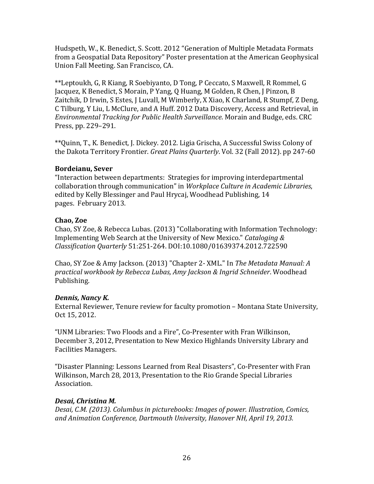Hudspeth, W., K. Benedict, S. Scott. 2012 "Generation of Multiple Metadata Formats from a Geospatial Data Repository" Poster presentation at the American Geophysical Union Fall Meeting. San Francisco, CA.

\*\*Leptoukh, G, R Kiang, R Soebiyanto, D Tong, P Ceccato, S Maxwell, R Rommel, G Jacquez, K Benedict, S Morain, P Yang, Q Huang, M Golden, R Chen, J Pinzon, B Zaitchik, D Irwin, S Estes, J Luvall, M Wimberly, X Xiao, K Charland, R Stumpf, Z Deng, C Tilburg, Y Liu, L McClure, and A Huff. 2012 Data Discovery, Access and Retrieval, in *Environmental Tracking for Public Health Surveillance*. Morain and Budge, eds. CRC Press, pp. 229–291.

\*\*Quinn, T., K. Benedict, J. Dickey. 2012. Ligia Grischa, A Successful Swiss Colony of the Dakota Territory Frontier. *Great Plains Quarterly*. Vol. 32 (Fall 2012). pp 247-60

## **Bordeianu, Sever**

"Interaction between departments: Strategies for improving interdepartmental collaboration through communication" in *Workplace Culture in Academic Libraries*, edited by Kelly Blessinger and Paul Hrycaj, Woodhead Publishing, 14 pages. February 2013.

## **Chao, Zoe**

Chao, SY Zoe, & Rebecca Lubas. (2013) "Collaborating with Information Technology: Implementing Web Search at the University of New Mexico." *Cataloging & Classification Quarterly* 51:251-264. DOI:10.1080/01639374.2012.722590

Chao, SY Zoe & Amy Jackson. (2013) "Chapter 2- XML." In *The Metadata Manual: A practical workbook by Rebecca Lubas, Amy Jackson & Ingrid Schneider*. Woodhead Publishing.

## *Dennis, Nancy K.*

External Reviewer, Tenure review for faculty promotion – Montana State University, Oct 15, 2012.

"UNM Libraries: Two Floods and a Fire", Co-Presenter with Fran Wilkinson, December 3, 2012, Presentation to New Mexico Highlands University Library and Facilities Managers.

"Disaster Planning: Lessons Learned from Real Disasters", Co-Presenter with Fran Wilkinson, March 28, 2013, Presentation to the Rio Grande Special Libraries Association.

# *Desai, Christina M.*

*Desai, C.M. (2013). Columbus in picturebooks: Images of power. Illustration, Comics, and Animation Conference, Dartmouth University, Hanover NH, April 19, 2013.*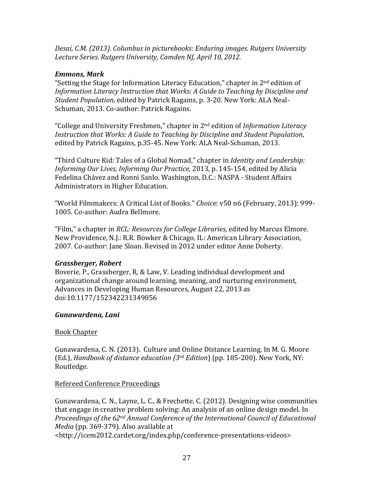*Desai, C.M. (2013). Columbus in picturebooks: Enduring images. Rutgers University Lecture Series. Rutgers University, Camden NJ, April 10, 2012.*

## *Emmons, Mark*

"Setting the Stage for Information Literacy Education," chapter in  $2<sup>nd</sup>$  edition of *Information Literacy Instruction that Works: A Guide to Teaching by Discipline and Student Population*, edited by Patrick Ragains, p. 3-20. New York: ALA Neal-Schuman, 2013. Co-author: Patrick Ragains.

"College and University Freshmen," chapter in 2nd edition of *Information Literacy Instruction that Works: A Guide to Teaching by Discipline and Student Population*, edited by Patrick Ragains, p.35-45. New York: ALA Neal-Schuman, 2013.

"Third Culture Kid: Tales of a Global Nomad," chapter in *Identity and Leadership: Informing Our Lives, Informing Our Practice*, 2013, p. 145-154, edited by Alicia Fedelina Chávez and Ronni Sanlo. Washington, D.C.: NASPA - Student Affairs Administrators in Higher Education.

"World Filmmakers: A Critical List of Books." *Choice*: v50 n6 (February, 2013): 999- 1005. Co-author: Audra Bellmore.

"Film," a chapter in *RCL: Resources for College Libraries*, edited by Marcus Elmore. New Providence, N.J.: R.R. Bowker & Chicago, IL: American Library Association, 2007. Co-author: Jane Sloan. Revised in 2012 under editor Anne Doherty.

## *Grassberger, Robert*

Boverie, P., Grassberger, R, & Law, V. Leading individual development and organizational change around learning, meaning, and nurturing environment, Advances in Developing Human Resources, August 22, 2013 as doi:10.1177/152342231349856

#### *Gunawardena, Lani*

## Book Chapter

Gunawardena, C. N. (2013). Culture and Online Distance Learning. In M. G. Moore (Ed.), *Handbook of distance education (3rd Edition*) (pp. 185-200). New York, NY: Routledge*.*

#### Refereed Conference Proceedings

Gunawardena, C. N., Layne, L. C., & Frechette, C. (2012). Designing wise communities that engage in creative problem solving: An analysis of an online design model. In *Proceedings of the 62nd Annual Conference of the International Council of Educational Media* (pp. 369-379). Also available at <http://icem2012.cardet.org/index.php/conference-presentations-videos>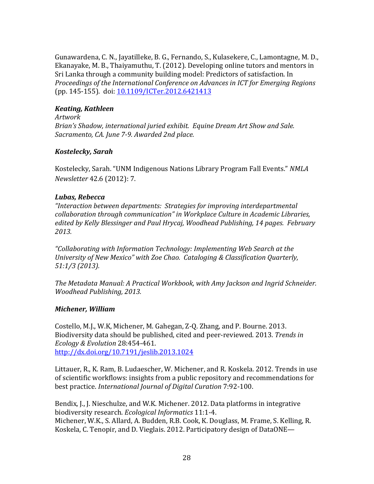Gunawardena, C. N., Jayatilleke, B. G., Fernando, S., Kulasekere, C., Lamontagne, M. D., Ekanayake, M. B., Thaiyamuthu, T. (2012). Developing online tutors and mentors in Sri Lanka through a community building model: Predictors of satisfaction. In *Proceedings of the International Conference on Advances in ICT for Emerging Regions* (pp. 145-155). doi: 10.1109/ICTer.2012.6421413

## *Keating, Kathleen*

*Artwork Brian's Shadow, international juried exhibit. Equine Dream Art Show and Sale. Sacramento, CA. June 7-9. Awarded 2nd place.*

## *Kostelecky, Sarah*

Kostelecky, Sarah. "UNM Indigenous Nations Library Program Fall Events." *NMLA Newsletter* 42.6 (2012): 7.

#### *Lubas, Rebecca*

*"Interaction between departments: Strategies for improving interdepartmental collaboration through communication" in Workplace Culture in Academic Libraries, edited by Kelly Blessinger and Paul Hrycaj, Woodhead Publishing, 14 pages. February 2013.*

*"Collaborating with Information Technology: Implementing Web Search at the University of New Mexico" with Zoe Chao. Cataloging & Classification Quarterly, 51:1/3 (2013).*

*The Metadata Manual: A Practical Workbook, with Amy Jackson and Ingrid Schneider. Woodhead Publishing, 2013.*

#### *Michener, William*

Costello, M.J., W.K, Michener, M. Gahegan, Z-Q. Zhang, and P. Bourne. 2013. Biodiversity data should be published, cited and peer-reviewed. 2013. *Trends in Ecology & Evolution* 28:454-461. http://dx.doi.org/10.7191/jeslib.2013.1024

Littauer, R., K. Ram, B. Ludaescher, W. Michener, and R. Koskela. 2012. Trends in use of scientific workflows: insights from a public repository and recommendations for best practice. *International Journal of Digital Curation* 7:92-100. 

Bendix, J., J. Nieschulze, and W.K. Michener. 2012. Data platforms in integrative biodiversity research. *Ecological Informatics* 11:1-4. Michener, W.K., S. Allard, A. Budden, R.B. Cook, K. Douglass, M. Frame, S. Kelling, R. Koskela, C. Tenopir, and D. Vieglais. 2012. Participatory design of DataONE—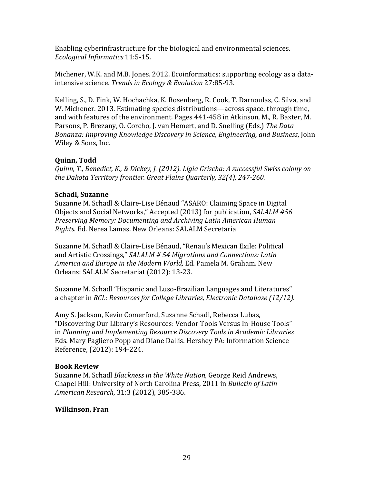Enabling cyberinfrastructure for the biological and environmental sciences. *Ecological Informatics* 11:5-15. 

Michener, W.K. and M.B. Jones. 2012. Ecoinformatics: supporting ecology as a dataintensive science. *Trends in Ecology & Evolution* 27:85-93.

Kelling, S., D. Fink, W. Hochachka, K. Rosenberg, R. Cook, T. Darnoulas, C. Silva, and W. Michener. 2013. Estimating species distributions—across space, through time, and with features of the environment. Pages 441-458 in Atkinson, M., R. Baxter, M. Parsons, P. Brezany, O. Corcho, J. van Hemert, and D. Snelling (Eds.) *The Data Bonanza: Improving Knowledge Discovery in Science, Engineering, and Business*, John Wiley & Sons, Inc. 

## **Quinn, Todd**

*Quinn, T., Benedict, K., & Dickey, J. (2012). Ligia Grischa: A successful Swiss colony on the Dakota Territory frontier. Great Plains Quarterly, 32(4), 247-260.*

## **Schadl, Suzanne**

Suzanne M. Schadl & Claire-Lise Bénaud "ASARO: Claiming Space in Digital Objects and Social Networks," Accepted (2013) for publication, *SALALM #56 Preserving Memory: Documenting and Archiving Latin American Human Rights.* Ed. Nerea Lamas. New Orleans: SALALM Secretaria

Suzanne M. Schadl & Claire-Lise Bénaud, "Renau's Mexican Exile: Political and Artistic Crossings," *SALALM # 54 Migrations and Connections: Latin America and Europe in the Modern World,* Ed. Pamela M. Graham. New Orleans: SALALM Secretariat (2012): 13-23.

Suzanne M. Schadl "Hispanic and Luso-Brazilian Languages and Literatures" a chapter in *RCL: Resources for College Libraries, Electronic Database (12/12).*

Amy S. Jackson, Kevin Comerford, Suzanne Schadl, Rebecca Lubas, "Discovering Our Library's Resources: Vendor Tools Versus In-House Tools" in *Planning and Implementing Resource Discovery Tools in Academic Libraries* Eds. Mary Pagliero Popp and Diane Dallis. Hershey PA: Information Science Reference, (2012): 194-224.

## **Book Review**

Suzanne M. Schadl *Blackness in the White Nation,* George Reid Andrews, Chapel Hill: University of North Carolina Press, 2011 in *Bulletin of Latin American Research*, 31:3 (2012), 385-386.

## **Wilkinson, Fran**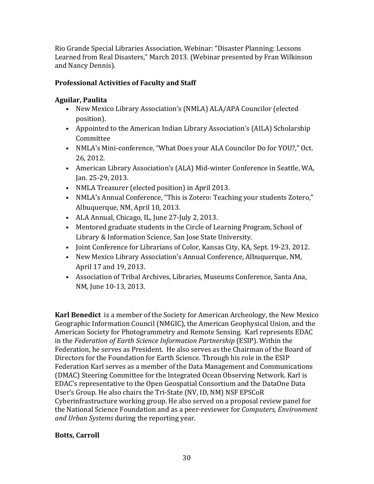Rio Grande Special Libraries Association, Webinar: "Disaster Planning: Lessons Learned from Real Disasters," March 2013. (Webinar presented by Fran Wilkinson and Nancy Dennis).

# **Professional Activities of Faculty and Staff**

# **Aguilar, Paulita**

- New Mexico Library Association's (NMLA) ALA/APA Councilor (elected position).
- Appointed to the American Indian Library Association's (AILA) Scholarship Committee
- NMLA's Mini-conference, "What Does your ALA Councilor Do for YOU?," Oct. 26, 2012.
- American Library Association's (ALA) Mid-winter Conference in Seattle, WA, Jan. 25-29, 2013.
- NMLA Treasurer (elected position) in April 2013.
- NMLA's Annual Conference, "This is Zotero: Teaching your students Zotero," Albuquerque, NM, April 10, 2013.
- ALA Annual, Chicago, IL, June 27-July 2, 2013.
- Mentored graduate students in the Circle of Learning Program, School of Library & Information Science, San Jose State University.
- Joint Conference for Librarians of Color, Kansas City, KA, Sept. 19-23, 2012.
- New Mexico Library Association's Annual Conference, Albuquerque, NM, April 17 and 19, 2013.
- Association of Tribal Archives, Libraries, Museums Conference, Santa Ana, NM, June 10-13, 2013.

**Karl Benedict** is a member of the Society for American Archeology, the New Mexico Geographic Information Council (NMGIC), the American Geophysical Union, and the American Society for Photogrammetry and Remote Sensing. Karl represents EDAC in the *Federation of Earth Science Information Partnership* (ESIP). Within the Federation, he serves as President. He also serves as the Chairman of the Board of Directors for the Foundation for Earth Science. Through his role in the ESIP Federation Karl serves as a member of the Data Management and Communications (DMAC) Steering Committee for the Integrated Ocean Observing Network. Karl is EDAC's representative to the Open Geospatial Consortium and the DataOne Data User's Group. He also chairs the Tri-State (NV, ID, NM) NSF EPSCoR Cyberinfrastructure working group. He also served on a proposal review panel for the National Science Foundation and as a peer-reviewer for *Computers, Environment and Urban Systems* during the reporting year.

## **Botts, Carroll**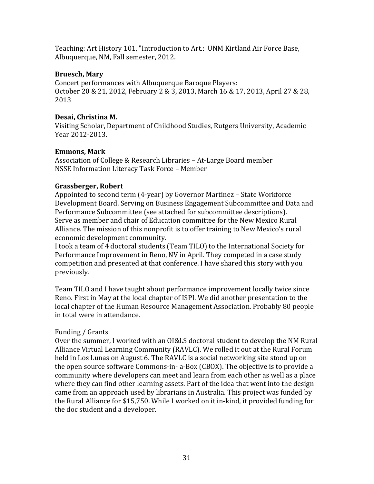Teaching: Art History 101, "Introduction to Art.: UNM Kirtland Air Force Base, Albuquerque, NM, Fall semester, 2012.

## **Bruesch, Mary**

Concert performances with Albuquerque Baroque Players: October 20 & 21, 2012, February 2 & 3, 2013, March 16 & 17, 2013, April 27 & 28, 2013

## **Desai, Christina M.**

Visiting Scholar, Department of Childhood Studies, Rutgers University, Academic Year 2012-2013.

## **Emmons, Mark**

Association of College & Research Libraries – At-Large Board member NSSE Information Literacy Task Force – Member

## **Grassberger, Robert**

Appointed to second term (4-year) by Governor Martinez – State Workforce Development Board. Serving on Business Engagement Subcommittee and Data and Performance Subcommittee (see attached for subcommittee descriptions). Serve as member and chair of Education committee for the New Mexico Rural Alliance. The mission of this nonprofit is to offer training to New Mexico's rural economic development community.

I took a team of 4 doctoral students (Team TILO) to the International Society for Performance Improvement in Reno, NV in April. They competed in a case study competition and presented at that conference. I have shared this story with you previously.

Team TILO and I have taught about performance improvement locally twice since Reno. First in May at the local chapter of ISPI. We did another presentation to the local chapter of the Human Resource Management Association. Probably 80 people in total were in attendance.

## Funding / Grants

Over the summer, I worked with an OI&LS doctoral student to develop the NM Rural Alliance Virtual Learning Community (RAVLC). We rolled it out at the Rural Forum held in Los Lunas on August 6. The RAVLC is a social networking site stood up on the open source software Commons-in- a-Box (CBOX). The objective is to provide a community where developers can meet and learn from each other as well as a place where they can find other learning assets. Part of the idea that went into the design came from an approach used by librarians in Australia. This project was funded by the Rural Alliance for \$15,750. While I worked on it in-kind, it provided funding for the doc student and a developer.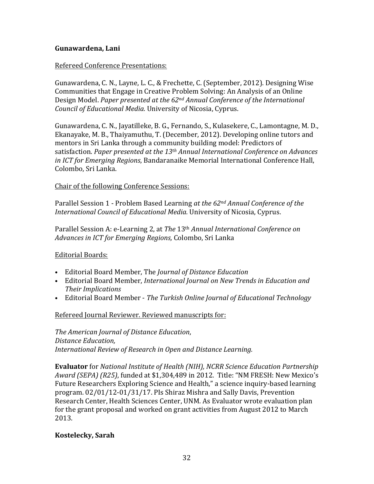## **Gunawardena, Lani**

## Refereed Conference Presentations:

Gunawardena, C. N., Layne, L. C., & Frechette, C. (September, 2012). Designing Wise Communities that Engage in Creative Problem Solving: An Analysis of an Online Design Model. *Paper presented at the 62nd Annual Conference of the International Council of Educational Media.* University of Nicosia, Cyprus.

Gunawardena, C. N., Jayatilleke, B. G., Fernando, S., Kulasekere, C., Lamontagne, M. D., Ekanayake, M. B., Thaiyamuthu, T. (December, 2012). Developing online tutors and mentors in Sri Lanka through a community building model: Predictors of satisfaction. *Paper presented at the 13th Annual International Conference on Advances in ICT for Emerging Regions*, Bandaranaike Memorial International Conference Hall, Colombo, Sri Lanka.

## Chair of the following Conference Sessions:

Parallel Session 1 - Problem Based Learning *at the 62nd Annual Conference of the International Council of Educational Media.* University of Nicosia, Cyprus.

Parallel Session A: e-Learning 2, at *The* 13th *Annual International Conference on Advances in ICT for Emerging Regions,* Colombo, Sri Lanka

#### Editorial Boards:

- Editorial Board Member, The *Journal of Distance Education*
- Editorial Board Member, *International Journal on New Trends in Education and Their Implications*
- Editorial Board Member *The Turkish Online Journal of Educational Technology*

Refereed Journal Reviewer. Reviewed manuscripts for:

*The American Journal of Distance Education*, *Distance Education, International Review of Research in Open and Distance Learning.*

**Evaluator** for *National Institute of Health (NIH), NCRR Science Education Partnership Award (SEPA) (R25)*, funded at \$1,304,489 in 2012. Title: "NM FRESH: New Mexico's Future Researchers Exploring Science and Health," a science inquiry-based learning program. 02/01/12-01/31/17. PIs Shiraz Mishra and Sally Davis, Prevention Research Center, Health Sciences Center, UNM. As Evaluator wrote evaluation plan for the grant proposal and worked on grant activities from August 2012 to March 2013. 

#### **Kostelecky, Sarah**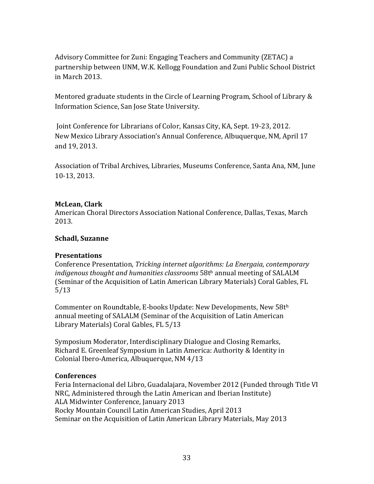Advisory Committee for Zuni: Engaging Teachers and Community (ZETAC) a partnership between UNM, W.K. Kellogg Foundation and Zuni Public School District in March 2013.

Mentored graduate students in the Circle of Learning Program, School of Library & Information Science, San Jose State University.

Joint Conference for Librarians of Color, Kansas City, KA, Sept. 19-23, 2012. New Mexico Library Association's Annual Conference, Albuquerque, NM, April 17 and 19, 2013.

Association of Tribal Archives, Libraries, Museums Conference, Santa Ana, NM, June 10-13, 2013.

#### **McLean, Clark**

American Choral Directors Association National Conference, Dallas, Texas, March 2013.

## **Schadl, Suzanne**

#### **Presentations**

Conference Presentation, *Tricking internet algorithms: La Energaia, contemporary indigenous thought and humanities classrooms* 58th annual meeting of SALALM (Seminar of the Acquisition of Latin American Library Materials) Coral Gables, FL 5/13

Commenter on Roundtable, E-books Update: New Developments, New 58th annual meeting of SALALM (Seminar of the Acquisition of Latin American Library Materials) Coral Gables, FL 5/13

Symposium Moderator, Interdisciplinary Dialogue and Closing Remarks, Richard E. Greenleaf Symposium in Latin America: Authority & Identity in Colonial Ibero-America, Albuquerque, NM 4/13

#### **Conferences**

Feria Internacional del Libro, Guadalajara, November 2012 (Funded through Title VI NRC, Administered through the Latin American and Iberian Institute) ALA Midwinter Conference, January 2013 Rocky Mountain Council Latin American Studies, April 2013 Seminar on the Acquisition of Latin American Library Materials, May 2013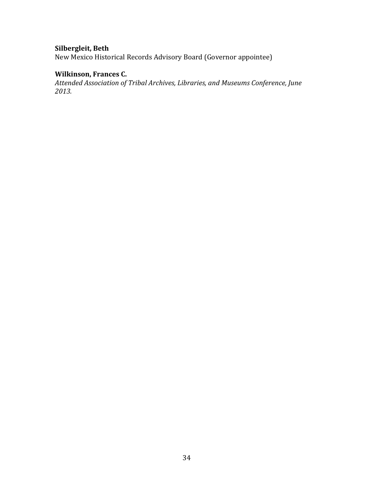## **Silbergleit, Beth**

New Mexico Historical Records Advisory Board (Governor appointee)

## **Wilkinson, Frances C.**

*Attended Association of Tribal Archives, Libraries, and Museums Conference, June 2013.*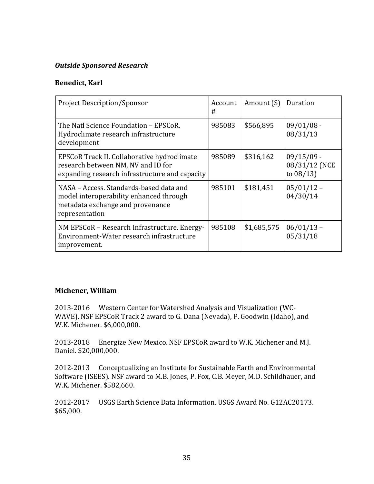## *Outside Sponsored Research*

## **Benedict, Karl**

| <b>Project Description/Sponsor</b>                                                                                                       | Account<br># | Amount $(\$)$ | Duration                                      |
|------------------------------------------------------------------------------------------------------------------------------------------|--------------|---------------|-----------------------------------------------|
| The Natl Science Foundation – EPSCoR.<br>Hydroclimate research infrastructure<br>development                                             | 985083       | \$566,895     | $09/01/08 -$<br>08/31/13                      |
| EPSCoR Track II. Collaborative hydroclimate<br>research between NM, NV and ID for<br>expanding research infrastructure and capacity      | 985089       | \$316,162     | $09/15/09$ -<br>08/31/12 (NCE<br>to $08/13$ ) |
| NASA – Access. Standards-based data and<br>model interoperability enhanced through<br>metadata exchange and provenance<br>representation | 985101       | \$181,451     | $05/01/12$ -<br>04/30/14                      |
| NM EPSCoR – Research Infrastructure. Energy-<br>Environment-Water research infrastructure<br>improvement.                                | 985108       | \$1,685,575   | $06/01/13 -$<br>05/31/18                      |

#### **Michener, William**

2013-2016 Western Center for Watershed Analysis and Visualization (WC-WAVE). NSF EPSCoR Track 2 award to G. Dana (Nevada), P. Goodwin (Idaho), and W.K. Michener. \$6,000,000.

2013-2018 Energize New Mexico. NSF EPSCoR award to W.K. Michener and M.J. Daniel. \$20,000,000.

2012-2013 Conceptualizing an Institute for Sustainable Earth and Environmental Software (ISEES). NSF award to M.B. Jones, P. Fox, C.B. Meyer, M.D. Schildhauer, and W.K. Michener. \$582,660.

2012-2017 USGS Earth Science Data Information. USGS Award No. G12AC20173. \$65,000.